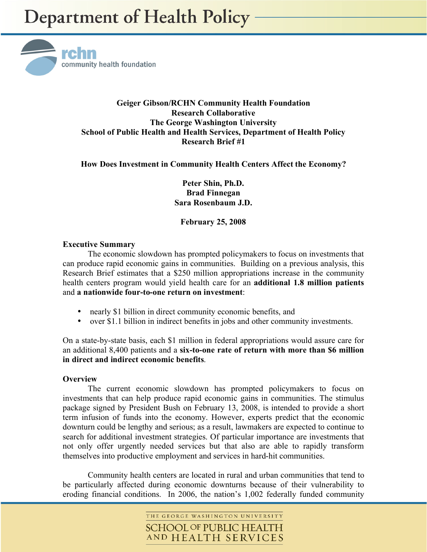

# **Geiger Gibson/RCHN Community Health Foundation Research Collaborative The George Washington University School of Public Health and Health Services, Department of Health Policy Research Brief #1**

# **How Does Investment in Community Health Centers Affect the Economy?**

**Peter Shin, Ph.D. Brad Finnegan Sara Rosenbaum J.D.** 

**February 25, 2008** 

## **Executive Summary**

 The economic slowdown has prompted policymakers to focus on investments that can produce rapid economic gains in communities. Building on a previous analysis, this Research Brief estimates that a \$250 million appropriations increase in the community health centers program would yield health care for an **additional 1.8 million patients**  and **a nationwide four-to-one return on investment**:

- nearly \$1 billion in direct community economic benefits, and
- over \$1.1 billion in indirect benefits in jobs and other community investments.

On a state-by-state basis, each \$1 million in federal appropriations would assure care for an additional 8,400 patients and a **six-to-one rate of return with more than \$6 million in direct and indirect economic benefits**.

## **Overview**

The current economic slowdown has prompted policymakers to focus on investments that can help produce rapid economic gains in communities. The stimulus package signed by President Bush on February 13, 2008, is intended to provide a short term infusion of funds into the economy. However, experts predict that the economic downturn could be lengthy and serious; as a result, lawmakers are expected to continue to search for additional investment strategies. Of particular importance are investments that not only offer urgently needed services but that also are able to rapidly transform themselves into productive employment and services in hard-hit communities.

Community health centers are located in rural and urban communities that tend to be particularly affected during economic downturns because of their vulnerability to eroding financial conditions. In 2006, the nation's 1,002 federally funded community

> THE GEORGE WASHINGTON UNIVERSITY **SCHOOL OF PUBLIC HEALTH** AND HEALTH SERVICES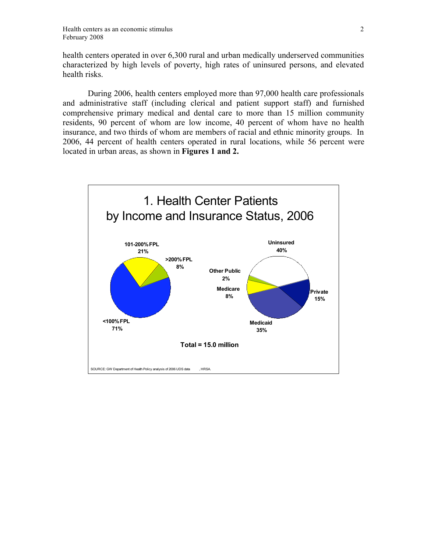health centers operated in over 6,300 rural and urban medically underserved communities characterized by high levels of poverty, high rates of uninsured persons, and elevated health risks.

During 2006, health centers employed more than 97,000 health care professionals and administrative staff (including clerical and patient support staff) and furnished comprehensive primary medical and dental care to more than 15 million community residents, 90 percent of whom are low income, 40 percent of whom have no health insurance, and two thirds of whom are members of racial and ethnic minority groups. In 2006, 44 percent of health centers operated in rural locations, while 56 percent were located in urban areas, as shown in **Figures 1 and 2.** 

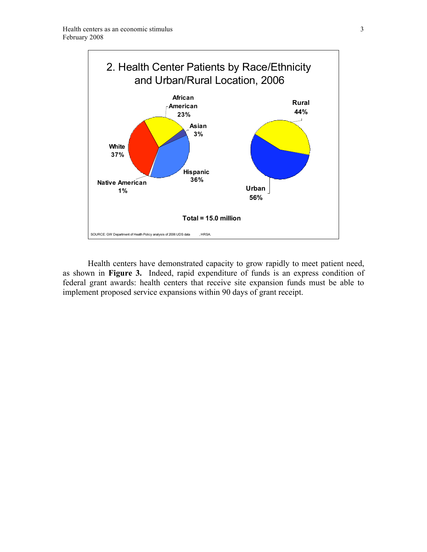

Health centers have demonstrated capacity to grow rapidly to meet patient need, as shown in **Figure 3.** Indeed, rapid expenditure of funds is an express condition of federal grant awards: health centers that receive site expansion funds must be able to implement proposed service expansions within 90 days of grant receipt.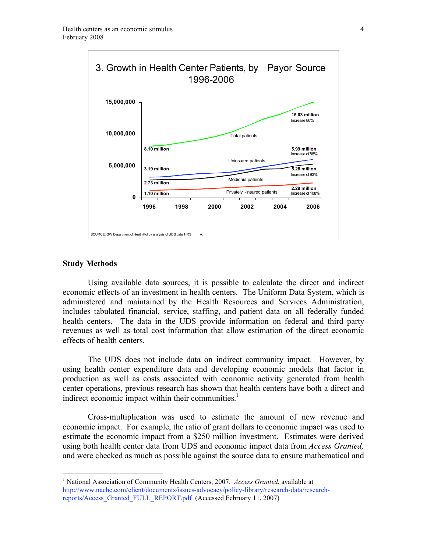

#### **Study Methods**

<u>.</u>

Using available data sources, it is possible to calculate the direct and indirect economic effects of an investment in health centers. The Uniform Data System, which is administered and maintained by the Health Resources and Services Administration, includes tabulated financial, service, staffing, and patient data on all federally funded health centers. The data in the UDS provide information on federal and third party revenues as well as total cost information that allow estimation of the direct economic effects of health centers.

The UDS does not include data on indirect community impact. However, by using health center expenditure data and developing economic models that factor in production as well as costs associated with economic activity generated from health center operations, previous research has shown that health centers have both a direct and indirect economic impact within their communities.<sup>1</sup>

Cross-multiplication was used to estimate the amount of new revenue and economic impact. For example, the ratio of grant dollars to economic impact was used to estimate the economic impact from a \$250 million investment. Estimates were derived using both health center data from UDS and economic impact data from *Access Granted,* and were checked as much as possible against the source data to ensure mathematical and

<sup>&</sup>lt;sup>1</sup> National Association of Community Health Centers, 2007. *Access Granted*, available at http://www.nachc.com/client/documents/issues-advocacy/policy-library/research-data/researchreports/Access\_Granted\_FULL\_REPORT.pdf (Accessed February 11, 2007)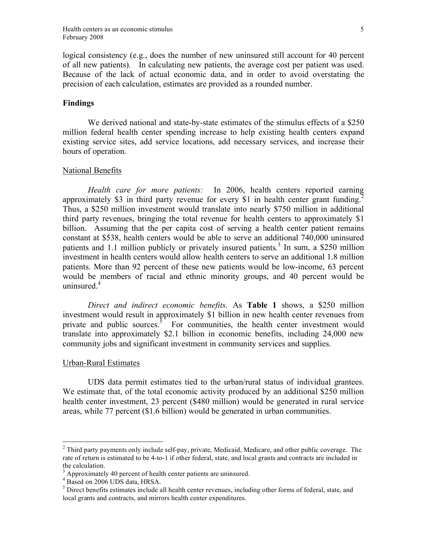logical consistency (e.g., does the number of new uninsured still account for 40 percent of all new patients). In calculating new patients, the average cost per patient was used. Because of the lack of actual economic data, and in order to avoid overstating the precision of each calculation, estimates are provided as a rounded number.

### **Findings**

We derived national and state-by-state estimates of the stimulus effects of a \$250 million federal health center spending increase to help existing health centers expand existing service sites, add service locations, add necessary services, and increase their hours of operation.

### National Benefits

*Health care for more patients:* In 2006, health centers reported earning approximately \$3 in third party revenue for every \$1 in health center grant funding.<sup>2</sup> Thus, a \$250 million investment would translate into nearly \$750 million in additional third party revenues, bringing the total revenue for health centers to approximately \$1 billion. Assuming that the per capita cost of serving a health center patient remains constant at \$538, health centers would be able to serve an additional 740,000 uninsured patients and 1.1 million publicly or privately insured patients.<sup>3</sup> In sum, a \$250 million investment in health centers would allow health centers to serve an additional 1.8 million patients. More than 92 percent of these new patients would be low-income, 63 percent would be members of racial and ethnic minority groups, and 40 percent would be uninsured.<sup>4</sup>

*Direct and indirect economic benefits.* As **Table 1** shows, a \$250 million investment would result in approximately \$1 billion in new health center revenues from private and public sources. $5$  For communities, the health center investment would translate into approximately \$2.1 billion in economic benefits, including 24,000 new community jobs and significant investment in community services and supplies.

#### Urban-Rural Estimates

 $\overline{a}$ 

UDS data permit estimates tied to the urban/rural status of individual grantees. We estimate that, of the total economic activity produced by an additional \$250 million health center investment, 23 percent (\$480 million) would be generated in rural service areas, while 77 percent (\$1.6 billion) would be generated in urban communities.

 $2$  Third party payments only include self-pay, private, Medicaid, Medicare, and other public coverage. The rate of return is estimated to be 4-to-1 if other federal, state, and local grants and contracts are included in the calculation.

<sup>&</sup>lt;sup>3</sup> Approximately 40 percent of health center patients are uninsured.<br><sup>4</sup> Based on 2006 UDS data, HRSA.

 $<sup>5</sup>$  Direct benefits estimates include all health center revenues, including other forms of federal, state, and</sup> local grants and contracts, and mirrors health center expenditures.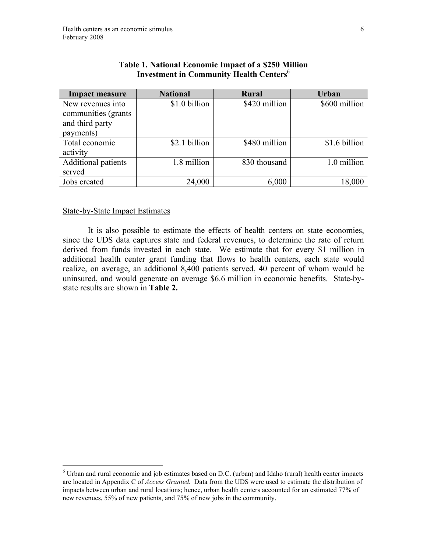| <b>Impact measure</b>                                                     | <b>National</b> | <b>Rural</b>  | <b>Urban</b>  |
|---------------------------------------------------------------------------|-----------------|---------------|---------------|
| New revenues into<br>communities (grants)<br>and third party<br>payments) | \$1.0 billion   | \$420 million | \$600 million |
| Total economic<br>activity                                                | \$2.1 billion   | \$480 million | \$1.6 billion |
| Additional patients<br>served                                             | 1.8 million     | 830 thousand  | 1.0 million   |
| Jobs created                                                              | 24,000          | 6,000         | 18,000        |

# **Table 1. National Economic Impact of a \$250 Million Investment in Community Health Centers**<sup>6</sup>

## State-by-State Impact Estimates

 It is also possible to estimate the effects of health centers on state economies, since the UDS data captures state and federal revenues, to determine the rate of return derived from funds invested in each state. We estimate that for every \$1 million in additional health center grant funding that flows to health centers, each state would realize, on average, an additional 8,400 patients served, 40 percent of whom would be uninsured, and would generate on average \$6.6 million in economic benefits. State-bystate results are shown in **Table 2.**

 6 Urban and rural economic and job estimates based on D.C. (urban) and Idaho (rural) health center impacts are located in Appendix C of *Access Granted.* Data from the UDS were used to estimate the distribution of impacts between urban and rural locations; hence, urban health centers accounted for an estimated 77% of new revenues, 55% of new patients, and 75% of new jobs in the community.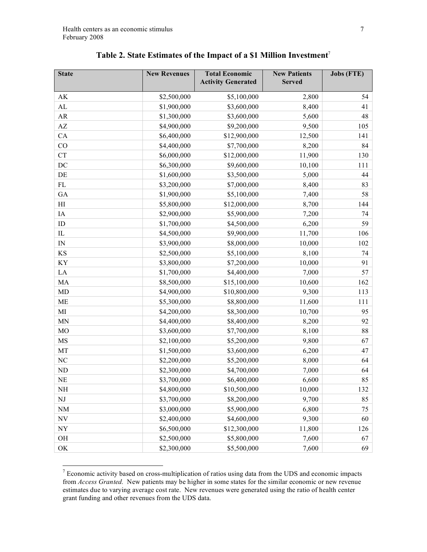| <b>State</b>             | <b>New Revenues</b> | <b>Total Economic</b><br><b>Activity Generated</b> | <b>New Patients</b><br><b>Served</b> | <b>Jobs (FTE)</b> |
|--------------------------|---------------------|----------------------------------------------------|--------------------------------------|-------------------|
| AK                       | \$2,500,000         | \$5,100,000                                        | 2,800                                | 54                |
| AL                       | \$1,900,000         | \$3,600,000                                        | 8,400                                | 41                |
| AR                       | \$1,300,000         | \$3,600,000                                        | 5,600                                | 48                |
| $\mathbf{A}\mathbf{Z}$   | \$4,900,000         | \$9,200,000                                        | 9,500                                | 105               |
| CA                       | \$6,400,000         | \$12,900,000                                       | 12,500                               | 141               |
| CO                       | \$4,400,000         | \$7,700,000                                        | 8,200                                | 84                |
| <b>CT</b>                | \$6,000,000         | \$12,000,000                                       | 11,900                               | 130               |
| $\rm DC$                 | \$6,300,000         | \$9,600,000                                        | 10,100                               | 111               |
| DE                       | \$1,600,000         | \$3,500,000                                        | 5,000                                | 44                |
| $\rm FL$                 | \$3,200,000         | \$7,000,000                                        | 8,400                                | 83                |
| GA                       | \$1,900,000         | \$5,100,000                                        | 7,400                                | 58                |
| H                        | \$5,800,000         | \$12,000,000                                       | 8,700                                | 144               |
| IA                       | \$2,900,000         | \$5,900,000                                        | 7,200                                | 74                |
| ID                       | \$1,700,000         | \$4,500,000                                        | 6,200                                | 59                |
| ${\rm IL}$               | \$4,500,000         | \$9,900,000                                        | 11,700                               | 106               |
| $\mathbf{IN}$            | \$3,900,000         | \$8,000,000                                        | 10,000                               | 102               |
| $\mathbf{K}\mathbf{S}$   | \$2,500,000         | \$5,100,000                                        | 8,100                                | 74                |
| KY                       | \$3,800,000         | \$7,200,000                                        | 10,000                               | 91                |
| LA                       | \$1,700,000         | \$4,400,000                                        | 7,000                                | 57                |
| MA                       | \$8,500,000         | \$15,100,000                                       | 10,600                               | 162               |
| MD                       | \$4,900,000         | \$10,800,000                                       | 9,300                                | 113               |
| ME                       | \$5,300,000         | \$8,800,000                                        | 11,600                               | 111               |
| $\mathbf{M}$             | \$4,200,000         | \$8,300,000                                        | 10,700                               | 95                |
| <b>MN</b>                | \$4,400,000         | \$8,400,000                                        | 8,200                                | 92                |
| MO                       | \$3,600,000         | \$7,700,000                                        | 8,100                                | 88                |
| MS                       | \$2,100,000         | \$5,200,000                                        | 9,800                                | 67                |
| MT                       | \$1,500,000         | \$3,600,000                                        | 6,200                                | 47                |
| NC                       | \$2,200,000         | \$5,200,000                                        | 8,000                                | 64                |
| ${\rm ND}$               | \$2,300,000         | \$4,700,000                                        | 7,000                                | 64                |
| <b>NE</b>                | \$3,700,000         | \$6,400,000                                        | 6,600                                | 85                |
| NH                       | \$4,800,000         | \$10,500,000                                       | 10,000                               | 132               |
| $\rm{NJ}$                | \$3,700,000         | \$8,200,000                                        | 9,700                                | 85                |
| $\rm{NM}$                | \$3,000,000         | \$5,900,000                                        | 6,800                                | 75                |
| $\ensuremath{\text{NV}}$ | \$2,400,000         | \$4,600,000                                        | 9,300                                | 60                |
| $\ensuremath{\text{NY}}$ | \$6,500,000         | \$12,300,000                                       | 11,800                               | 126               |
| OH                       | \$2,500,000         | \$5,800,000                                        | 7,600                                | 67                |
| OK                       | \$2,300,000         | \$5,500,000                                        | 7,600                                | 69                |

<sup>&</sup>lt;sup>7</sup> Economic activity based on cross-multiplication of ratios using data from the UDS and economic impacts from *Access Granted.* New patients may be higher in some states for the similar economic or new revenue estimates due to varying average cost rate. New revenues were generated using the ratio of health center grant funding and other revenues from the UDS data.